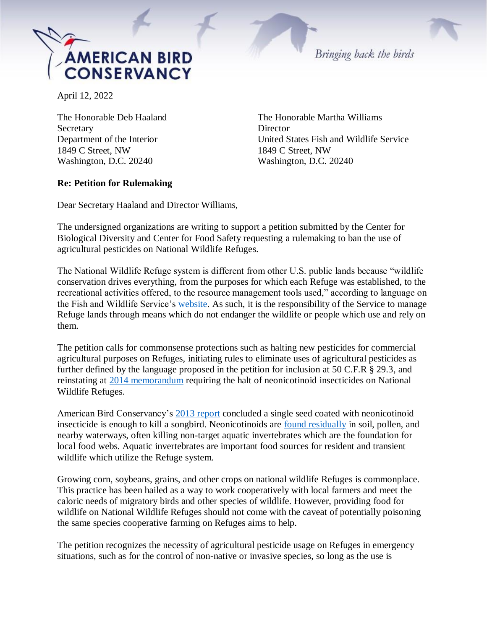

April 12, 2022

Secretary Director 1849 C Street, NW 1849 C Street, NW Washington, D.C. 20240 Washington, D.C. 20240

The Honorable Deb Haaland The Honorable Martha Williams Department of the Interior United States Fish and Wildlife Service

Bringing back the birds

## **Re: Petition for Rulemaking**

Dear Secretary Haaland and Director Williams,

The undersigned organizations are writing to support a petition submitted by the Center for Biological Diversity and Center for Food Safety requesting a rulemaking to ban the use of agricultural pesticides on National Wildlife Refuges.

The National Wildlife Refuge system is different from other U.S. public lands because "wildlife conservation drives everything, from the purposes for which each Refuge was established, to the recreational activities offered, to the resource management tools used," according to language on the Fish and Wildlife Service's [website.](https://www.fws.gov/refuges/about/) As such, it is the responsibility of the Service to manage Refuge lands through means which do not endanger the wildlife or people which use and rely on them.

The petition calls for commonsense protections such as halting new pesticides for commercial agricultural purposes on Refuges, initiating rules to eliminate uses of agricultural pesticides as further defined by the language proposed in the petition for inclusion at 50 C.F.R § 29.3, and reinstating at [2014 memorandum](https://www.biologicaldiversity.org/campaigns/pesticides_reduction/pdfs/2014-decision.pdf) requiring the halt of neonicotinoid insecticides on National Wildlife Refuges.

American Bird Conservancy's [2013 report](https://abcbirds.org/wp-content/uploads/2015/05/Neonic_FINAL.pdf) concluded a single seed coated with neonicotinoid insecticide is enough to kill a songbird. Neonicotinoids are [found residually](https://www.ncbi.nlm.nih.gov/pmc/articles/PMC5533829/) in soil, pollen, and nearby waterways, often killing non-target aquatic invertebrates which are the foundation for local food webs. Aquatic invertebrates are important food sources for resident and transient wildlife which utilize the Refuge system.

Growing corn, soybeans, grains, and other crops on national wildlife Refuges is commonplace. This practice has been hailed as a way to work cooperatively with local farmers and meet the caloric needs of migratory birds and other species of wildlife. However, providing food for wildlife on National Wildlife Refuges should not come with the caveat of potentially poisoning the same species cooperative farming on Refuges aims to help.

The petition recognizes the necessity of agricultural pesticide usage on Refuges in emergency situations, such as for the control of non-native or invasive species, so long as the use is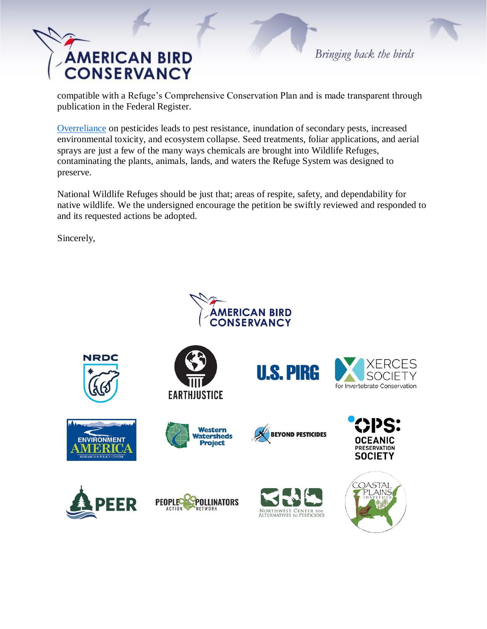## **AMERICAN BIRD CONSERVANCY**

Bringing back the birds

compatible with a Refuge's Comprehensive Conservation Plan and is made transparent through publication in the Federal Register.

[Overreliance](https://hilgardia.ucanr.edu/fileaccess.cfm?article=152499&p=RNIYON) on pesticides leads to pest resistance, inundation of secondary pests, increased environmental toxicity, and ecosystem collapse. Seed treatments, foliar applications, and aerial sprays are just a few of the many ways chemicals are brought into Wildlife Refuges, contaminating the plants, animals, lands, and waters the Refuge System was designed to preserve.

National Wildlife Refuges should be just that; areas of respite, safety, and dependability for native wildlife. We the undersigned encourage the petition be swiftly reviewed and responded to and its requested actions be adopted.

Sincerely,

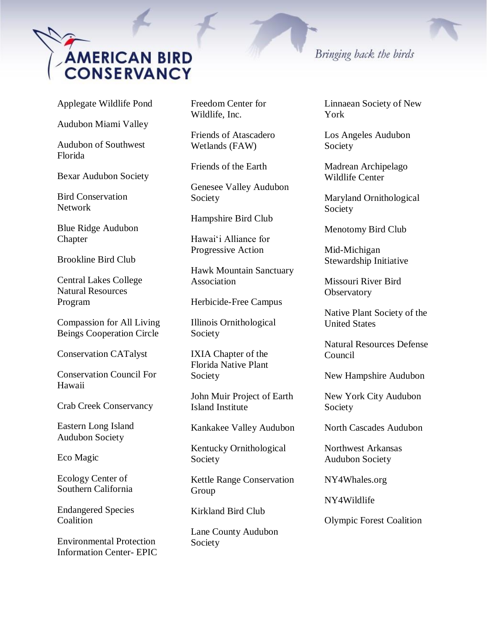

Applegate Wildlife Pond

Audubon Miami Valley

Audubon of Southwest Florida

Bexar Audubon Society

Bird Conservation Network

Blue Ridge Audubon Chapter

Brookline Bird Club

Central Lakes College Natural Resources Program

Compassion for All Living Beings Cooperation Circle

Conservation CATalyst

Conservation Council For Hawaii

Crab Creek Conservancy

Eastern Long Island Audubon Society

Eco Magic

Ecology Center of Southern California

Endangered Species **Coalition** 

Environmental Protection Information Center- EPIC Freedom Center for Wildlife, Inc.

Friends of Atascadero Wetlands (FAW)

Friends of the Earth

Genesee Valley Audubon Society

Hampshire Bird Club

Hawaiʻi Alliance for Progressive Action

Hawk Mountain Sanctuary Association

Herbicide-Free Campus

Illinois Ornithological Society

IXIA Chapter of the Florida Native Plant Society

John Muir Project of Earth Island Institute

Kankakee Valley Audubon

Kentucky Ornithological Society

Kettle Range Conservation Group

Kirkland Bird Club

Lane County Audubon Society

## Bringing back the birds

Linnaean Society of New York

Los Angeles Audubon Society

Madrean Archipelago Wildlife Center

Maryland Ornithological Society

Menotomy Bird Club

Mid-Michigan Stewardship Initiative

Missouri River Bird **Observatory** 

Native Plant Society of the United States

Natural Resources Defense Council

New Hampshire Audubon

New York City Audubon Society

North Cascades Audubon

Northwest Arkansas Audubon Society

NY4Whales.org

NY4Wildlife

Olympic Forest Coalition